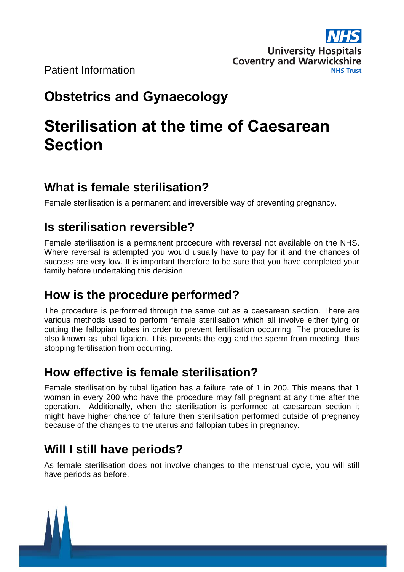

Patient Information

# **Obstetrics and Gynaecology**

# **Sterilisation at the time of Caesarean Section**

# **What is female sterilisation?**

Female sterilisation is a permanent and irreversible way of preventing pregnancy.

# **Is sterilisation reversible?**

Female sterilisation is a permanent procedure with reversal not available on the NHS. Where reversal is attempted you would usually have to pay for it and the chances of success are very low. It is important therefore to be sure that you have completed your family before undertaking this decision.

# **How is the procedure performed?**

The procedure is performed through the same cut as a caesarean section. There are various methods used to perform female sterilisation which all involve either tying or cutting the fallopian tubes in order to prevent fertilisation occurring. The procedure is also known as tubal ligation. This prevents the egg and the sperm from meeting, thus stopping fertilisation from occurring.

# **How effective is female sterilisation?**

Female sterilisation by tubal ligation has a failure rate of 1 in 200. This means that 1 woman in every 200 who have the procedure may fall pregnant at any time after the operation. Additionally, when the sterilisation is performed at caesarean section it might have higher chance of failure then sterilisation performed outside of pregnancy because of the changes to the uterus and fallopian tubes in pregnancy.

# **Will I still have periods?**

As female sterilisation does not involve changes to the menstrual cycle, you will still have periods as before.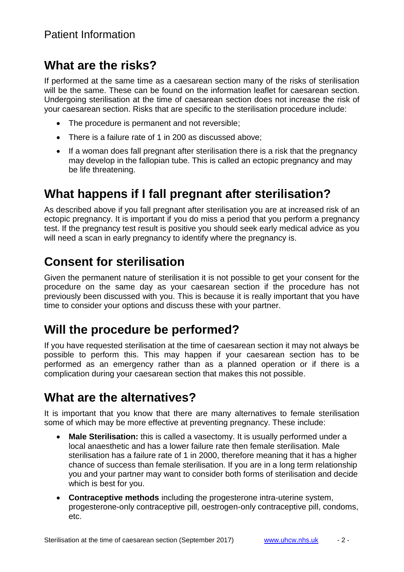#### **What are the risks?**

If performed at the same time as a caesarean section many of the risks of sterilisation will be the same. These can be found on the information leaflet for caesarean section. Undergoing sterilisation at the time of caesarean section does not increase the risk of your caesarean section. Risks that are specific to the sterilisation procedure include:

- The procedure is permanent and not reversible:
- There is a failure rate of 1 in 200 as discussed above;
- If a woman does fall pregnant after sterilisation there is a risk that the pregnancy may develop in the fallopian tube. This is called an ectopic pregnancy and may be life threatening.

#### **What happens if I fall pregnant after sterilisation?**

As described above if you fall pregnant after sterilisation you are at increased risk of an ectopic pregnancy. It is important if you do miss a period that you perform a pregnancy test. If the pregnancy test result is positive you should seek early medical advice as you will need a scan in early pregnancy to identify where the pregnancy is.

## **Consent for sterilisation**

Given the permanent nature of sterilisation it is not possible to get your consent for the procedure on the same day as your caesarean section if the procedure has not previously been discussed with you. This is because it is really important that you have time to consider your options and discuss these with your partner.

### **Will the procedure be performed?**

If you have requested sterilisation at the time of caesarean section it may not always be possible to perform this. This may happen if your caesarean section has to be performed as an emergency rather than as a planned operation or if there is a complication during your caesarean section that makes this not possible.

### **What are the alternatives?**

It is important that you know that there are many alternatives to female sterilisation some of which may be more effective at preventing pregnancy. These include:

- **Male Sterilisation:** this is called a vasectomy. It is usually performed under a local anaesthetic and has a lower failure rate then female sterilisation. Male sterilisation has a failure rate of 1 in 2000, therefore meaning that it has a higher chance of success than female sterilisation. If you are in a long term relationship you and your partner may want to consider both forms of sterilisation and decide which is best for you.
- **Contraceptive methods** including the progesterone intra-uterine system, progesterone-only contraceptive pill, oestrogen-only contraceptive pill, condoms, etc.